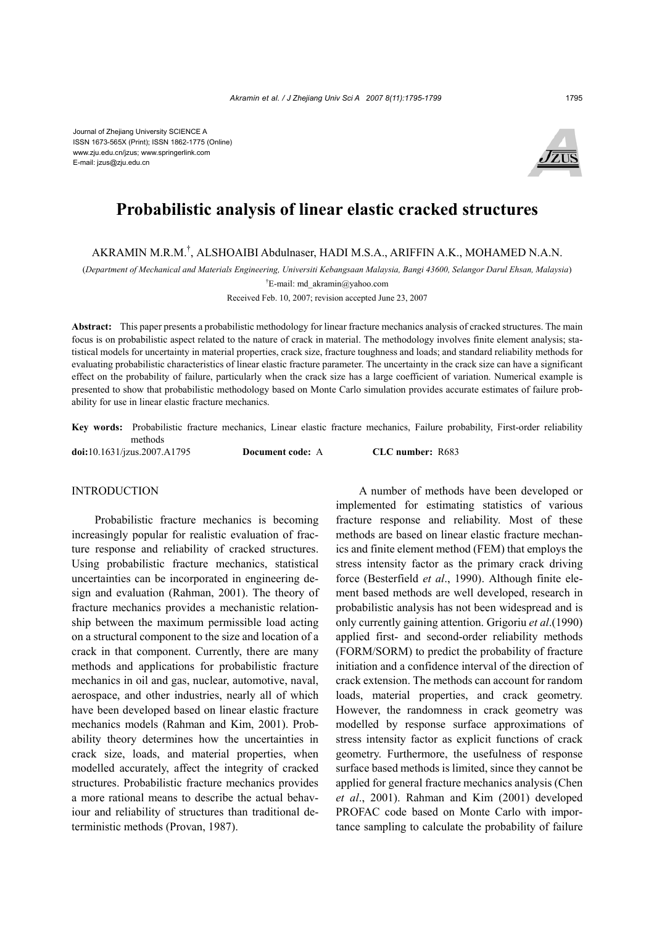

# **Probabilistic analysis of linear elastic cracked structures**

AKRAMIN M.R.M.† , ALSHOAIBI Abdulnaser, HADI M.S.A., ARIFFIN A.K., MOHAMED N.A.N.

(*Department of Mechanical and Materials Engineering, Universiti Kebangsaan Malaysia, Bangi 43600, Selangor Darul Ehsan, Malaysia*)

† E-mail: md\_akramin@yahoo.com

Received Feb. 10, 2007; revision accepted June 23, 2007

**Abstract:** This paper presents a probabilistic methodology for linear fracture mechanics analysis of cracked structures. The main focus is on probabilistic aspect related to the nature of crack in material. The methodology involves finite element analysis; statistical models for uncertainty in material properties, crack size, fracture toughness and loads; and standard reliability methods for evaluating probabilistic characteristics of linear elastic fracture parameter. The uncertainty in the crack size can have a significant effect on the probability of failure, particularly when the crack size has a large coefficient of variation. Numerical example is presented to show that probabilistic methodology based on Monte Carlo simulation provides accurate estimates of failure probability for use in linear elastic fracture mechanics.

**Key words:** Probabilistic fracture mechanics, Linear elastic fracture mechanics, Failure probability, First-order reliability methods

**doi:**10.1631/jzus.2007.A1795 **Document code:** A **CLC number:** R683

### INTRODUCTION

Probabilistic fracture mechanics is becoming increasingly popular for realistic evaluation of fracture response and reliability of cracked structures. Using probabilistic fracture mechanics, statistical uncertainties can be incorporated in engineering design and evaluation (Rahman, 2001). The theory of fracture mechanics provides a mechanistic relationship between the maximum permissible load acting on a structural component to the size and location of a crack in that component. Currently, there are many methods and applications for probabilistic fracture mechanics in oil and gas, nuclear, automotive, naval, aerospace, and other industries, nearly all of which have been developed based on linear elastic fracture mechanics models (Rahman and Kim, 2001). Probability theory determines how the uncertainties in crack size, loads, and material properties, when modelled accurately, affect the integrity of cracked structures. Probabilistic fracture mechanics provides a more rational means to describe the actual behaviour and reliability of structures than traditional deterministic methods (Provan, 1987).

A number of methods have been developed or implemented for estimating statistics of various fracture response and reliability. Most of these methods are based on linear elastic fracture mechanics and finite element method (FEM) that employs the stress intensity factor as the primary crack driving force (Besterfield *et al*., 1990). Although finite element based methods are well developed, research in probabilistic analysis has not been widespread and is only currently gaining attention. Grigoriu *et al*.(1990) applied first- and second-order reliability methods (FORM/SORM) to predict the probability of fracture initiation and a confidence interval of the direction of crack extension. The methods can account for random loads, material properties, and crack geometry. However, the randomness in crack geometry was modelled by response surface approximations of stress intensity factor as explicit functions of crack geometry. Furthermore, the usefulness of response surface based methods is limited, since they cannot be applied for general fracture mechanics analysis (Chen *et al*., 2001). Rahman and Kim (2001) developed PROFAC code based on Monte Carlo with importance sampling to calculate the probability of failure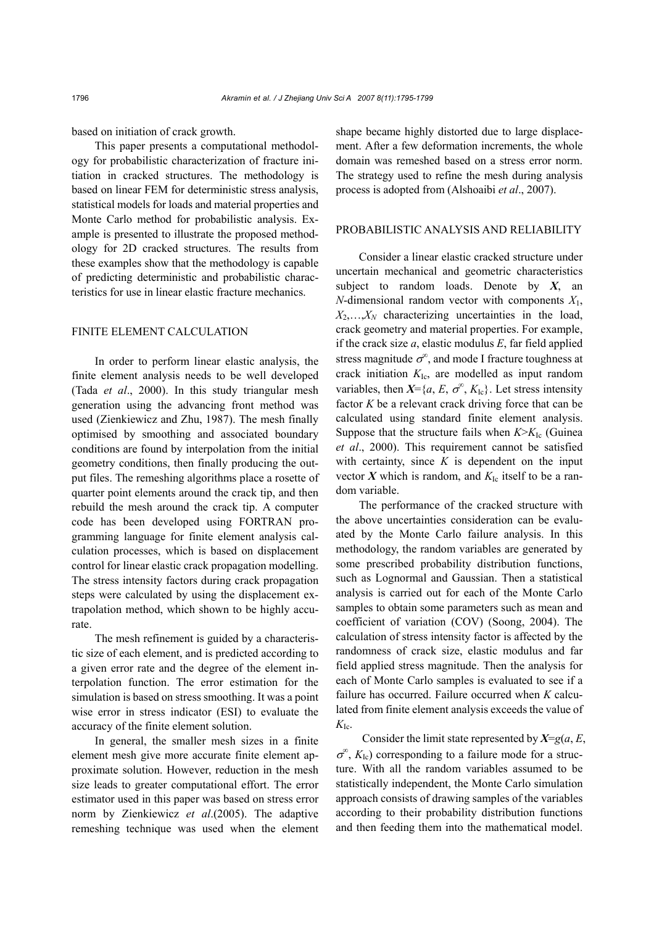based on initiation of crack growth.

This paper presents a computational methodology for probabilistic characterization of fracture initiation in cracked structures. The methodology is based on linear FEM for deterministic stress analysis, statistical models for loads and material properties and Monte Carlo method for probabilistic analysis. Example is presented to illustrate the proposed methodology for 2D cracked structures. The results from these examples show that the methodology is capable of predicting deterministic and probabilistic characteristics for use in linear elastic fracture mechanics.

## FINITE ELEMENT CALCULATION

In order to perform linear elastic analysis, the finite element analysis needs to be well developed (Tada *et al*., 2000). In this study triangular mesh generation using the advancing front method was used (Zienkiewicz and Zhu, 1987). The mesh finally optimised by smoothing and associated boundary conditions are found by interpolation from the initial geometry conditions, then finally producing the output files. The remeshing algorithms place a rosette of quarter point elements around the crack tip, and then rebuild the mesh around the crack tip. A computer code has been developed using FORTRAN programming language for finite element analysis calculation processes, which is based on displacement control for linear elastic crack propagation modelling. The stress intensity factors during crack propagation steps were calculated by using the displacement extrapolation method, which shown to be highly accurate.

The mesh refinement is guided by a characteristic size of each element, and is predicted according to a given error rate and the degree of the element interpolation function. The error estimation for the simulation is based on stress smoothing. It was a point wise error in stress indicator (ESI) to evaluate the accuracy of the finite element solution.

In general, the smaller mesh sizes in a finite element mesh give more accurate finite element approximate solution. However, reduction in the mesh size leads to greater computational effort. The error estimator used in this paper was based on stress error norm by Zienkiewicz *et al*.(2005). The adaptive remeshing technique was used when the element shape became highly distorted due to large displacement. After a few deformation increments, the whole domain was remeshed based on a stress error norm. The strategy used to refine the mesh during analysis process is adopted from (Alshoaibi *et al*., 2007).

#### PROBABILISTIC ANALYSIS AND RELIABILITY

Consider a linear elastic cracked structure under uncertain mechanical and geometric characteristics subject to random loads. Denote by *X*, an *N*-dimensional random vector with components *X*1,  $X_2, \ldots, X_N$  characterizing uncertainties in the load, crack geometry and material properties. For example, if the crack size *a*, elastic modulus *E*, far field applied stress magnitude  $\sigma^{\infty}$ , and mode I fracture toughness at crack initiation  $K_{\text{Ic}}$ , are modelled as input random variables, then  $X = \{a, E, \sigma^{\infty}, K_{\text{Ic}}\}$ . Let stress intensity factor *K* be a relevant crack driving force that can be calculated using standard finite element analysis. Suppose that the structure fails when  $K > K<sub>1c</sub>$  (Guinea *et al*., 2000). This requirement cannot be satisfied with certainty, since *K* is dependent on the input vector  $X$  which is random, and  $K_{\text{Ic}}$  itself to be a random variable.

The performance of the cracked structure with the above uncertainties consideration can be evaluated by the Monte Carlo failure analysis. In this methodology, the random variables are generated by some prescribed probability distribution functions, such as Lognormal and Gaussian. Then a statistical analysis is carried out for each of the Monte Carlo samples to obtain some parameters such as mean and coefficient of variation (COV) (Soong, 2004). The calculation of stress intensity factor is affected by the randomness of crack size, elastic modulus and far field applied stress magnitude. Then the analysis for each of Monte Carlo samples is evaluated to see if a failure has occurred. Failure occurred when *K* calculated from finite element analysis exceeds the value of  $K_{\text{Ic}}$ .

Consider the limit state represented by  $X = g(a, E)$ ,  $\sigma^{\infty}$ ,  $K_{\text{Ic}}$ ) corresponding to a failure mode for a structure. With all the random variables assumed to be statistically independent, the Monte Carlo simulation approach consists of drawing samples of the variables according to their probability distribution functions and then feeding them into the mathematical model.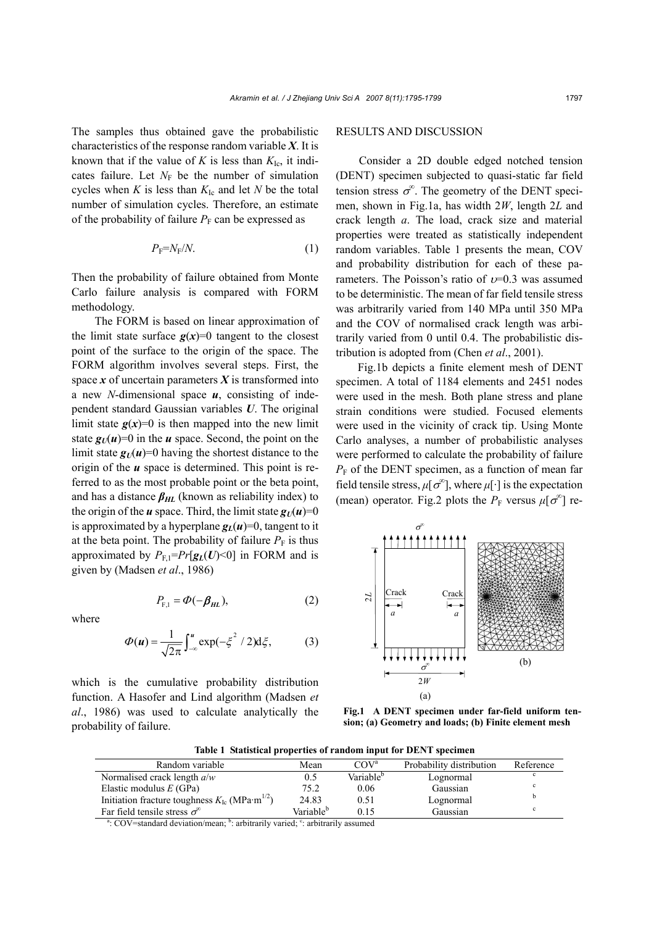The samples thus obtained gave the probabilistic characteristics of the response random variable *X*. It is known that if the value of  $K$  is less than  $K_{\text{Ic}}$ , it indicates failure. Let  $N_F$  be the number of simulation cycles when *K* is less than  $K<sub>1c</sub>$  and let *N* be the total number of simulation cycles. Therefore, an estimate of the probability of failure  $P_F$  can be expressed as

$$
P_{\rm F} = N_{\rm F}/N. \tag{1}
$$

Then the probability of failure obtained from Monte Carlo failure analysis is compared with FORM methodology.

The FORM is based on linear approximation of the limit state surface  $g(x)=0$  tangent to the closest point of the surface to the origin of the space. The FORM algorithm involves several steps. First, the space *x* of uncertain parameters *X* is transformed into a new *N*-dimensional space *u*, consisting of independent standard Gaussian variables *U*. The original limit state  $g(x)=0$  is then mapped into the new limit state  $g_U(u)=0$  in the *u* space. Second, the point on the limit state  $g_U(u)=0$  having the shortest distance to the origin of the *u* space is determined. This point is referred to as the most probable point or the beta point, and has a distance  $\beta_{HL}$  (known as reliability index) to the origin of the *u* space. Third, the limit state  $g_U(u)=0$ is approximated by a hyperplane  $g_L(u)=0$ , tangent to it at the beta point. The probability of failure  $P_F$  is thus approximated by  $P_{F,1} = Pr[g_L(U) \le 0]$  in FORM and is given by (Madsen *et al*., 1986)

$$
P_{F,1} = \Phi(-\beta_{HL}),\tag{2}
$$

where

$$
\Phi(\mathbf{u}) = \frac{1}{\sqrt{2\pi}} \int_{-\infty}^{u} \exp(-\xi^2 / 2) d\xi, \tag{3}
$$

which is the cumulative probability distribution function. A Hasofer and Lind algorithm (Madsen *et al*., 1986) was used to calculate analytically the probability of failure.

### RESULTS AND DISCUSSION

Consider a 2D double edged notched tension (DENT) specimen subjected to quasi-static far field tension stress  $\sigma^{\infty}$ . The geometry of the DENT specimen, shown in Fig.1a, has width 2*W*, length 2*L* and crack length *a*. The load, crack size and material properties were treated as statistically independent random variables. Table 1 presents the mean, COV and probability distribution for each of these parameters. The Poisson's ratio of  $\nu$ =0.3 was assumed to be deterministic. The mean of far field tensile stress was arbitrarily varied from 140 MPa until 350 MPa and the COV of normalised crack length was arbitrarily varied from 0 until 0.4. The probabilistic distribution is adopted from (Chen *et al*., 2001).

Fig.1b depicts a finite element mesh of DENT specimen. A total of 1184 elements and 2451 nodes were used in the mesh. Both plane stress and plane strain conditions were studied. Focused elements were used in the vicinity of crack tip. Using Monte Carlo analyses, a number of probabilistic analyses were performed to calculate the probability of failure  $P_F$  of the DENT specimen, as a function of mean far field tensile stress,  $\mu[\sigma^\infty]$ , where  $\mu[\cdot]$  is the expectation (mean) operator. Fig.2 plots the  $P_F$  versus  $\mu[\sigma^\infty]$  re-



**Fig.1 A DENT specimen under far-field uniform tension; (a) Geometry and loads; (b) Finite element mesh**

**Table 1 Statistical properties of random input for DENT specimen** 

| Random variable                                                       | Mean                  | $C\Omega V^a$         | Probability distribution | Reference |
|-----------------------------------------------------------------------|-----------------------|-----------------------|--------------------------|-----------|
| Normalised crack length $a/w$                                         | 0.5                   | Variable <sup>b</sup> | Lognormal                |           |
| Elastic modulus $E(GPa)$                                              | 75.2                  | 0.06                  | Gaussian                 |           |
| Initiation fracture toughness $K_{\text{Ic}}$ (MPa·m <sup>1/2</sup> ) | 24.83                 | 0.51                  | Lognormal                |           |
| Far field tensile stress $\sigma^{\circ}$                             | Variable <sup>b</sup> | 0.15                  | Gaussian                 |           |

<sup>a</sup>: COV=standard deviation/mean; <sup>b</sup>: arbitrarily varied; <sup>c</sup>: arbitrarily assumed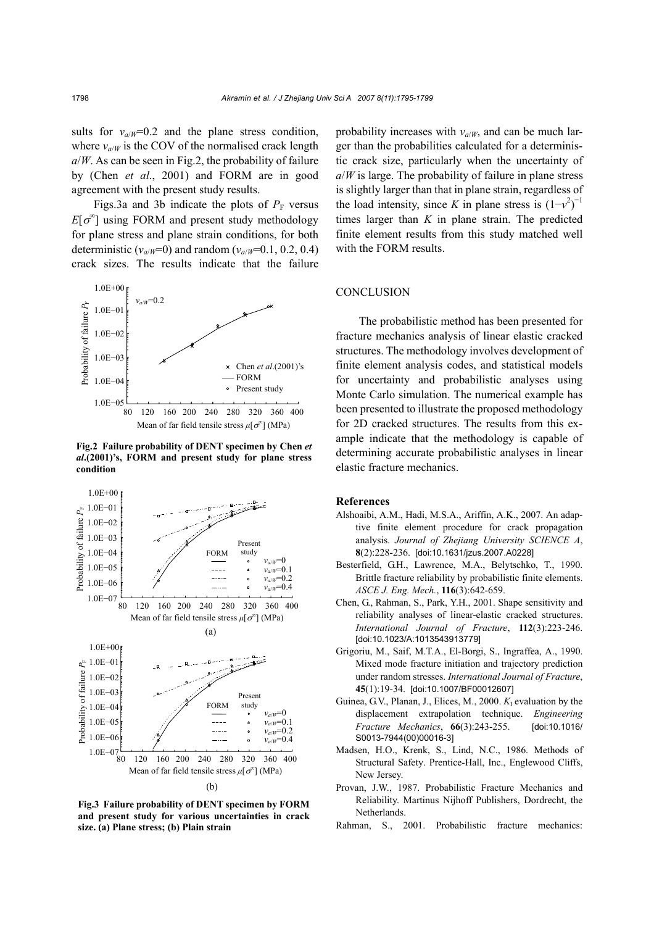sults for  $v_{a/W} = 0.2$  and the plane stress condition, where  $v_{a/W}$  is the COV of the normalised crack length  $a/W$ . As can be seen in Fig.2, the probability of failure by (Chen *et al*., 2001) and FORM are in good agreement with the present study results.

Figs.3a and 3b indicate the plots of  $P_F$  versus  $E[\sigma^{\infty}]$  using FORM and present study methodology for plane stress and plane strain conditions, for both deterministic ( $v_{a/W}$ =0) and random ( $v_{a/W}$ =0.1, 0.2, 0.4) crack sizes. The results indicate that the failure



**Fig.2 Failure probability of DENT specimen by Chen** *et al***.(2001)'s, FORM and present study for plane stress condition**



**Fig.3 Failure probability of DENT specimen by FORM and present study for various uncertainties in crack size. (a) Plane stress; (b) Plain strain** 

probability increases with  $v_{a/W}$ , and can be much larger than the probabilities calculated for a deterministic crack size, particularly when the uncertainty of *a*/*W* is large. The probability of failure in plane stress is slightly larger than that in plane strain, regardless of the load intensity, since *K* in plane stress is  $(1 - v^2)^{-1}$ times larger than *K* in plane strain. The predicted finite element results from this study matched well with the FORM results.

#### **CONCLUSION**

The probabilistic method has been presented for fracture mechanics analysis of linear elastic cracked structures. The methodology involves development of finite element analysis codes, and statistical models for uncertainty and probabilistic analyses using Monte Carlo simulation. The numerical example has been presented to illustrate the proposed methodology for 2D cracked structures. The results from this example indicate that the methodology is capable of determining accurate probabilistic analyses in linear elastic fracture mechanics.

#### **References**

- Alshoaibi, A.M., Hadi, M.S.A., Ariffin, A.K., 2007. An adaptive finite element procedure for crack propagation analysis. *Journal of Zhejiang University SCIENCE A*, **8**(2):228-236. [doi:10.1631/jzus.2007.A0228]
- Besterfield, G.H., Lawrence, M.A., Belytschko, T., 1990. Brittle fracture reliability by probabilistic finite elements. *ASCE J. Eng. Mech.*, **116**(3):642-659.
- Chen, G., Rahman, S., Park, Y.H., 2001. Shape sensitivity and reliability analyses of linear-elastic cracked structures. *International Journal of Fracture*, **112**(3):223-246. [doi:10.1023/A:1013543913779]
- Grigoriu, M., Saif, M.T.A., El-Borgi, S., Ingraffea, A., 1990. Mixed mode fracture initiation and trajectory prediction under random stresses. *International Journal of Fracture*, **45**(1):19-34. [doi:10.1007/BF00012607]
- Guinea, G.V., Planan, J., Elices, M., 2000.  $K_I$  evaluation by the displacement extrapolation technique. *Engineering Fracture Mechanics*, **66**(3):243-255. [doi:10.1016/ S0013-7944(00)00016-3]
- Madsen, H.O., Krenk, S., Lind, N.C., 1986. Methods of Structural Safety. Prentice-Hall, Inc., Englewood Cliffs, New Jersey.
- Provan, J.W., 1987. Probabilistic Fracture Mechanics and Reliability. Martinus Nijhoff Publishers, Dordrecht, the Netherlands.
- Rahman, S., 2001. Probabilistic fracture mechanics: